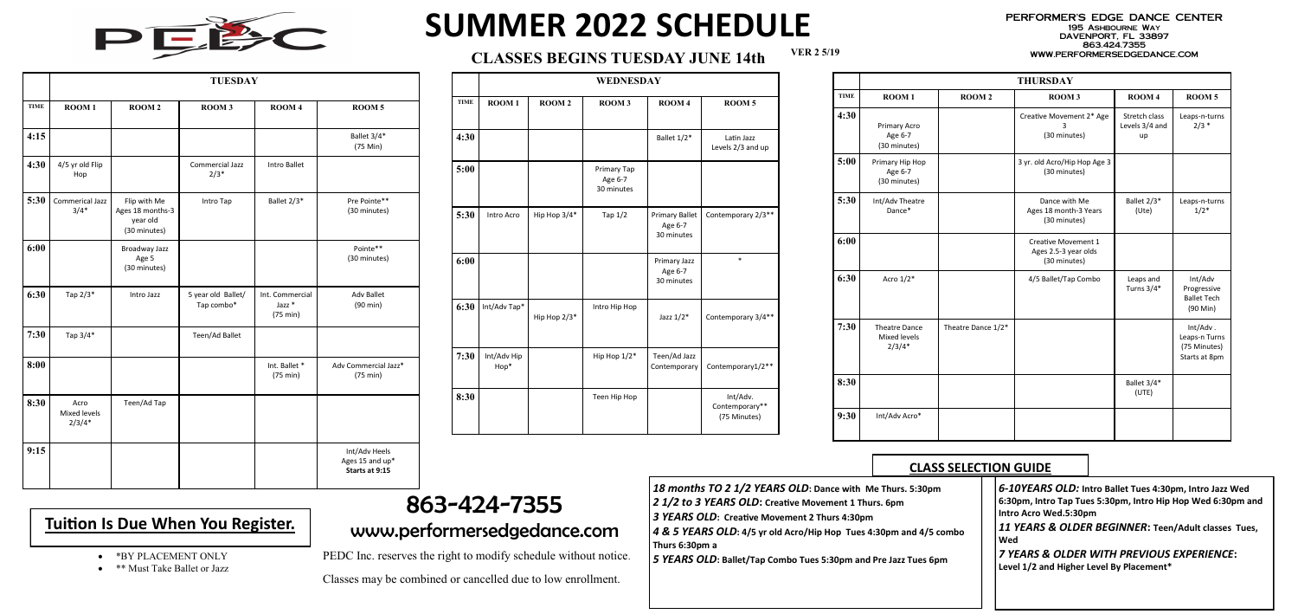**VER 2 5/19**



# **SUMMER 2022 SCHEDULE**

#### PERFORMER'S EDGE DANCE CENTER 195 Ashbourne Way DAVENPORT, FL 33897 863.424.7355

### WWW.PERFORMERSEDGEDANCE.COM **CLASSES BEGINS TUESDAY JUNE 14th**

|             | <b>TUESDAY</b>                   |                                                              |                                  |                                                  |                                                    |  |  |
|-------------|----------------------------------|--------------------------------------------------------------|----------------------------------|--------------------------------------------------|----------------------------------------------------|--|--|
| <b>TIME</b> | ROOM <sub>1</sub>                | <b>ROOM2</b>                                                 | ROOM <sub>3</sub>                | ROOM <sub>4</sub>                                | ROOM <sub>5</sub>                                  |  |  |
| 4:15        |                                  |                                                              |                                  |                                                  | Ballet 3/4*<br>(75 Min)                            |  |  |
| 4:30        | 4/5 yr old Flip<br>Hop           |                                                              | <b>Commercial Jazz</b><br>$2/3*$ | <b>Intro Ballet</b>                              |                                                    |  |  |
| 5:30        | Commerical Jazz<br>$3/4*$        | Flip with Me<br>Ages 18 months-3<br>year old<br>(30 minutes) | Intro Tap                        | Ballet 2/3*                                      | Pre Pointe**<br>(30 minutes)                       |  |  |
| 6:00        |                                  | Broadway Jazz<br>Age 5<br>(30 minutes)                       |                                  |                                                  | Pointe**<br>(30 minutes)                           |  |  |
| 6:30        | Tap 2/3*                         | Intro Jazz                                                   | 5 year old Ballet/<br>Tap combo* | Int. Commercial<br>Jazz <sup>*</sup><br>(75 min) | <b>Adv Ballet</b><br>(90 min)                      |  |  |
| 7:30        | Tap 3/4*                         |                                                              | Teen/Ad Ballet                   |                                                  |                                                    |  |  |
| 8:00        |                                  |                                                              |                                  | Int. Ballet *<br>$(75 \text{ min})$              | Adv Commercial Jazz*<br>(75 min)                   |  |  |
| 8:30        | Acro<br>Mixed levels<br>$2/3/4*$ | Teen/Ad Tap                                                  |                                  |                                                  |                                                    |  |  |
| 9:15        |                                  |                                                              |                                  |                                                  | Int/Adv Heels<br>Ages 15 and up*<br>Starts at 9:15 |  |  |

|             | WEDNESDAY           |                   |                                      |                                                |                                            |  |  |
|-------------|---------------------|-------------------|--------------------------------------|------------------------------------------------|--------------------------------------------|--|--|
| <b>TIME</b> | ROOM <sub>1</sub>   | ROOM <sub>2</sub> | ROOM <sub>3</sub>                    | ROOM <sub>4</sub>                              | ROOM <sub>5</sub>                          |  |  |
| 4:30        |                     |                   |                                      | Ballet 1/2*                                    | Latin Jazz<br>Levels 2/3 and up            |  |  |
| 5:00        |                     |                   | Primary Tap<br>Age 6-7<br>30 minutes |                                                |                                            |  |  |
| 5:30        | Intro Acro          | Hip Hop 3/4*      | Tap $1/2$                            | <b>Primary Ballet</b><br>Age 6-7<br>30 minutes | Contemporary 2/3**                         |  |  |
| 6:00        |                     |                   |                                      | Primary Jazz<br>Age 6-7<br>30 minutes          | $\ast$                                     |  |  |
| 6:30        | Int/Adv Tap*        | Hip Hop 2/3*      | Intro Hip Hop                        | Jazz $1/2^*$                                   | Contemporary 3/4**                         |  |  |
| 7:30        | Int/Adv Hip<br>Hop* |                   | Hip Hop 1/2*                         | Teen/Ad Jazz<br>Contemporary                   | Contemporary1/2**                          |  |  |
| 8:30        |                     |                   | Teen Hip Hop                         |                                                | Int/Adv.<br>Contemporary**<br>(75 Minutes) |  |  |

- 18 months TO 2 1/2 YEARS OLD: Dance with Me Thurs *2 1/2 to 3 YEARS OLD***: Creative Movement 1 Thurs. 6pm**
- *3 YEARS OLD***: Creative Movement 2 Thurs 4:30pm**
- 
- **4 & 5 YEARS OLD: 4/5 yr old Acro/Hip Hop Tues 4:30pm Thurs 6:30pm a**

5 YEARS OLD: Ballet/Tap Combo Tues 5:30pm and Pre Jazz

- \*BY PLACEMENT ONLY
- \*\* Must Take Ballet or Jazz

|             | <b>THURSDAY</b>                                  |                    |                                                                    |                                       |                                                               |  |  |  |
|-------------|--------------------------------------------------|--------------------|--------------------------------------------------------------------|---------------------------------------|---------------------------------------------------------------|--|--|--|
| <b>TIME</b> | ROOM <sub>1</sub>                                | <b>ROOM2</b>       | ROOM <sub>3</sub>                                                  | ROOM <sub>4</sub>                     | ROOM <sub>5</sub>                                             |  |  |  |
| 4:30        | Primary Acro<br>Age 6-7<br>(30 minutes)          |                    | Creative Movement 2* Age<br>3<br>(30 minutes)                      | Stretch class<br>Levels 3/4 and<br>up | Leaps-n-turns<br>$2/3$ *                                      |  |  |  |
| 5:00        | Primary Hip Hop<br>Age 6-7<br>(30 minutes)       |                    | 3 yr. old Acro/Hip Hop Age 3<br>(30 minutes)                       |                                       |                                                               |  |  |  |
| 5:30        | Int/Adv Theatre<br>Dance*                        |                    | Dance with Me<br>Ages 18 month-3 Years<br>(30 minutes)             | Ballet 2/3*<br>(Ute)                  | Leaps-n-turns<br>$1/2*$                                       |  |  |  |
| 6:00        |                                                  |                    | <b>Creative Movement 1</b><br>Ages 2.5-3 year olds<br>(30 minutes) |                                       |                                                               |  |  |  |
| 6:30        | Acro $1/2^*$                                     |                    | 4/5 Ballet/Tap Combo                                               | Leaps and<br>Turns 3/4*               | Int/Adv<br>Progressive<br><b>Ballet Tech</b><br>$(90$ Min $)$ |  |  |  |
| 7:30        | <b>Theatre Dance</b><br>Mixed levels<br>$2/3/4*$ | Theatre Dance 1/2* |                                                                    |                                       | Int/Adv.<br>Leaps-n Turns<br>(75 Minutes)<br>Starts at 8pm    |  |  |  |
| 8:30        |                                                  |                    |                                                                    | Ballet 3/4*<br>(UTE)                  |                                                               |  |  |  |
| 9:30        | Int/Adv Acro*                                    |                    |                                                                    |                                       |                                                               |  |  |  |

## 863-424-7355 www.performersedgedance.com

PEDC Inc. reserves the right to modify schedule without notice.

Classes may be combined or cancelled due to low enrollment.

## **Tuition Is Due When You Register.**

|  |  | <b>CLASS SELECTION GUIDE</b> |  |
|--|--|------------------------------|--|
|  |  |                              |  |

| s. 5:30pm     | 6-10YEARS OLD: Intro Ballet Tues 4:30pm, Intro Jazz Wed                               |
|---------------|---------------------------------------------------------------------------------------|
|               | 6:30pm, Intro Tap Tues 5:30pm, Intro Hip Hop Wed 6:30pm and<br>Intro Acro Wed.5:30pm  |
| and 4/5 combo | 11 YEARS & OLDER BEGINNER: Teen/Adult classes Tues,<br>Wed                            |
| z Tues 6pm    | 7 YEARS & OLDER WITH PREVIOUS EXPERIENCE:<br>Level 1/2 and Higher Level By Placement* |
|               |                                                                                       |